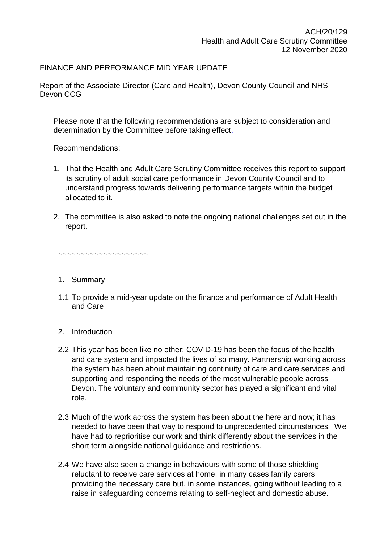## FINANCE AND PERFORMANCE MID YEAR UPDATE

Report of the Associate Director (Care and Health), Devon County Council and NHS Devon CCG

Please note that the following recommendations are subject to consideration and determination by the Committee before taking effect.

Recommendations:

- 1. That the Health and Adult Care Scrutiny Committee receives this report to support its scrutiny of adult social care performance in Devon County Council and to understand progress towards delivering performance targets within the budget allocated to it.
- 2. The committee is also asked to note the ongoing national challenges set out in the report.

~~~~~~~~~~~~~~~~~~~~

- 1. Summary
- 1.1 To provide a mid-year update on the finance and performance of Adult Health and Care
- 2. Introduction
- 2.2 This year has been like no other; COVID-19 has been the focus of the health and care system and impacted the lives of so many. Partnership working across the system has been about maintaining continuity of care and care services and supporting and responding the needs of the most vulnerable people across Devon. The voluntary and community sector has played a significant and vital role.
- 2.3 Much of the work across the system has been about the here and now; it has needed to have been that way to respond to unprecedented circumstances. We have had to reprioritise our work and think differently about the services in the short term alongside national guidance and restrictions.
- 2.4 We have also seen a change in behaviours with some of those shielding reluctant to receive care services at home, in many cases family carers providing the necessary care but, in some instances, going without leading to a raise in safeguarding concerns relating to self-neglect and domestic abuse.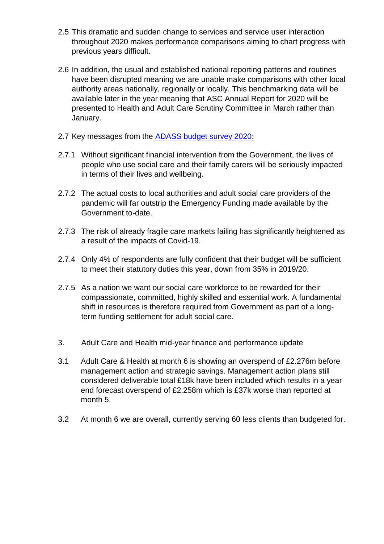- 2.5 This dramatic and sudden change to services and service user interaction throughout 2020 makes performance comparisons aiming to chart progress with previous years difficult.
- 2.6 In addition, the usual and established national reporting patterns and routines have been disrupted meaning we are unable make comparisons with other local authority areas nationally, regionally or locally. This benchmarking data will be available later in the year meaning that ASC Annual Report for 2020 will be presented to Health and Adult Care Scrutiny Committee in March rather than January.
- 2.7 Key messages from the [ADASS budget survey 2020:](https://www.adass.org.uk/media/7973/no-embargo-adass-budget-survey-report.pdf)
- 2.7.1 Without significant financial intervention from the Government, the lives of people who use social care and their family carers will be seriously impacted in terms of their lives and wellbeing.
- 2.7.2 The actual costs to local authorities and adult social care providers of the pandemic will far outstrip the Emergency Funding made available by the Government to-date.
- 2.7.3 The risk of already fragile care markets failing has significantly heightened as a result of the impacts of Covid-19.
- 2.7.4 Only 4% of respondents are fully confident that their budget will be sufficient to meet their statutory duties this year, down from 35% in 2019/20.
- 2.7.5 As a nation we want our social care workforce to be rewarded for their compassionate, committed, highly skilled and essential work. A fundamental shift in resources is therefore required from Government as part of a longterm funding settlement for adult social care.
- 3. Adult Care and Health mid-year finance and performance update
- 3.1 Adult Care & Health at month 6 is showing an overspend of £2.276m before management action and strategic savings. Management action plans still considered deliverable total £18k have been included which results in a year end forecast overspend of £2.258m which is £37k worse than reported at month 5.
- 3.2 At month 6 we are overall, currently serving 60 less clients than budgeted for.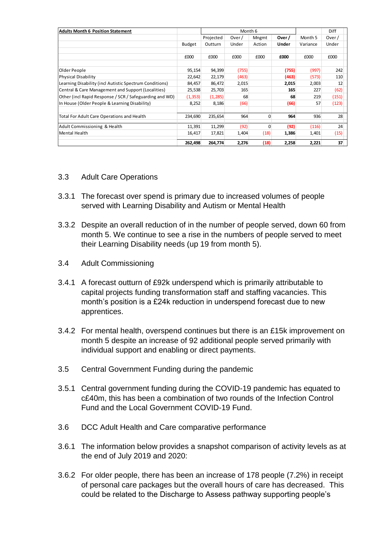| <b>Adults Month 6 Position Statement</b>                |               | Month 6   |       |        |       |          | Diff  |
|---------------------------------------------------------|---------------|-----------|-------|--------|-------|----------|-------|
|                                                         |               | Projected | Over/ | Mngmt  | Over/ | Month 5  | Over/ |
|                                                         | <b>Budget</b> | Outturn   | Under | Action | Under | Variance | Under |
|                                                         | £000          | £000      | £000  | £000   | £000  | £000     | £000  |
| Older People                                            | 95,154        | 94,399    | (755) |        | (755) | (997)    | 242   |
| <b>Physical Disability</b>                              | 22,642        | 22,179    | (463) |        | (463) | (573)    | 110   |
| Learning Disability (incl Autistic Spectrum Conditions) | 84,457        | 86,472    | 2,015 |        | 2,015 | 2,003    | 12    |
| Central & Care Management and Support (Localities)      | 25,538        | 25,703    | 165   |        | 165   | 227      | (62)  |
| Other (incl Rapid Response / SCR / Safeguarding and WD) | (1, 353)      | (1, 285)  | 68    |        | 68    | 219      | (151) |
| In House (Older People & Learning Disability)           | 8,252         | 8,186     | (66)  |        | (66)  | 57       | (123) |
| Total For Adult Care Operations and Health              | 234,690       | 235,654   | 964   | 0      | 964   | 936      | 28    |
| Adult Commissioning & Health                            | 11,391        | 11,299    | (92)  | 0      | (92)  | (116)    | 24    |
| <b>Mental Health</b>                                    | 16,417        | 17,821    | 1,404 | (18)   | 1,386 | 1,401    | (15)  |
|                                                         | 262,498       | 264,774   | 2,276 | (18)   | 2,258 | 2,221    | 37    |

## 3.3 Adult Care Operations

- 3.3.1 The forecast over spend is primary due to increased volumes of people served with Learning Disability and Autism or Mental Health
- 3.3.2 Despite an overall reduction of in the number of people served, down 60 from month 5. We continue to see a rise in the numbers of people served to meet their Learning Disability needs (up 19 from month 5).
- 3.4 Adult Commissioning
- 3.4.1 A forecast outturn of £92k underspend which is primarily attributable to capital projects funding transformation staff and staffing vacancies. This month's position is a £24k reduction in underspend forecast due to new apprentices.
- 3.4.2 For mental health, overspend continues but there is an £15k improvement on month 5 despite an increase of 92 additional people served primarily with individual support and enabling or direct payments.
- 3.5 Central Government Funding during the pandemic
- 3.5.1 Central government funding during the COVID-19 pandemic has equated to c£40m, this has been a combination of two rounds of the Infection Control Fund and the Local Government COVID-19 Fund.
- 3.6 DCC Adult Health and Care comparative performance
- 3.6.1 The information below provides a snapshot comparison of activity levels as at the end of July 2019 and 2020:
- 3.6.2 For older people, there has been an increase of 178 people (7.2%) in receipt of personal care packages but the overall hours of care has decreased. This could be related to the Discharge to Assess pathway supporting people's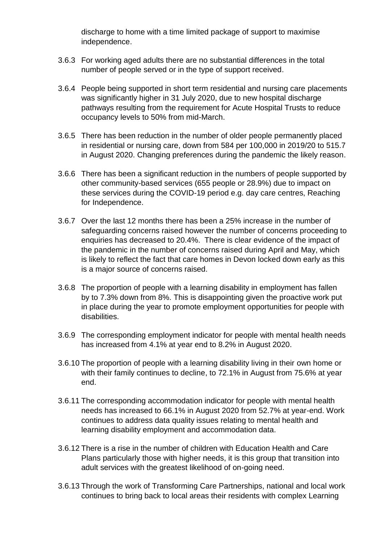discharge to home with a time limited package of support to maximise independence.

- 3.6.3 For working aged adults there are no substantial differences in the total number of people served or in the type of support received.
- 3.6.4 People being supported in short term residential and nursing care placements was significantly higher in 31 July 2020, due to new hospital discharge pathways resulting from the requirement for Acute Hospital Trusts to reduce occupancy levels to 50% from mid-March.
- 3.6.5 There has been reduction in the number of older people permanently placed in residential or nursing care, down from 584 per 100,000 in 2019/20 to 515.7 in August 2020. Changing preferences during the pandemic the likely reason.
- 3.6.6 There has been a significant reduction in the numbers of people supported by other community-based services (655 people or 28.9%) due to impact on these services during the COVID-19 period e.g. day care centres, Reaching for Independence.
- 3.6.7 Over the last 12 months there has been a 25% increase in the number of safeguarding concerns raised however the number of concerns proceeding to enquiries has decreased to 20.4%. There is clear evidence of the impact of the pandemic in the number of concerns raised during April and May, which is likely to reflect the fact that care homes in Devon locked down early as this is a major source of concerns raised.
- 3.6.8 The proportion of people with a learning disability in employment has fallen by to 7.3% down from 8%. This is disappointing given the proactive work put in place during the year to promote employment opportunities for people with disabilities.
- 3.6.9 The corresponding employment indicator for people with mental health needs has increased from 4.1% at year end to 8.2% in August 2020.
- 3.6.10 The proportion of people with a learning disability living in their own home or with their family continues to decline, to 72.1% in August from 75.6% at year end.
- 3.6.11 The corresponding accommodation indicator for people with mental health needs has increased to 66.1% in August 2020 from 52.7% at year-end. Work continues to address data quality issues relating to mental health and learning disability employment and accommodation data.
- 3.6.12 There is a rise in the number of children with Education Health and Care Plans particularly those with higher needs, it is this group that transition into adult services with the greatest likelihood of on-going need.
- 3.6.13 Through the work of Transforming Care Partnerships, national and local work continues to bring back to local areas their residents with complex Learning